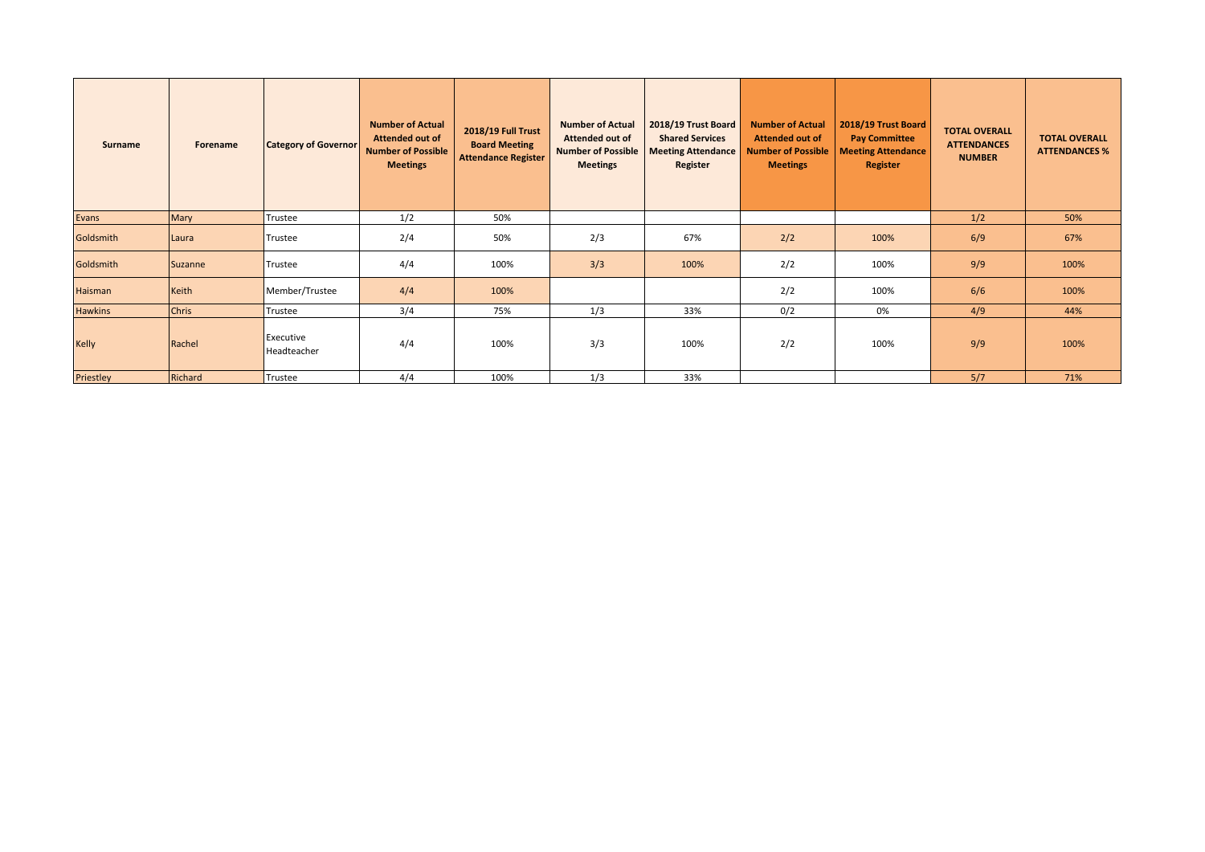| Surname        | Forename     | <b>Category of Governor</b> | <b>Number of Actual</b><br><b>Attended out of</b><br><b>Number of Possible</b><br><b>Meetings</b> | 2018/19 Full Trust<br><b>Board Meeting</b><br><b>Attendance Register</b> | <b>Number of Actual</b><br><b>Attended out of</b><br><b>Number of Possible</b><br><b>Meetings</b> | 2018/19 Trust Board<br><b>Shared Services</b><br><b>Meeting Attendance</b><br>Register | <b>Number of Actual</b><br><b>Attended out of</b><br><b>Number of Possible</b><br><b>Meetings</b> | 2018/19 Trust Board<br><b>Pay Committee</b><br><b>Meeting Attendance</b><br>Register | <b>TOTAL OVERALL</b><br><b>ATTENDANCES</b><br><b>NUMBER</b> | <b>TOTAL OVERALL</b><br><b>ATTENDANCES %</b> |
|----------------|--------------|-----------------------------|---------------------------------------------------------------------------------------------------|--------------------------------------------------------------------------|---------------------------------------------------------------------------------------------------|----------------------------------------------------------------------------------------|---------------------------------------------------------------------------------------------------|--------------------------------------------------------------------------------------|-------------------------------------------------------------|----------------------------------------------|
| Evans          | Mary         | Trustee                     | 1/2                                                                                               | 50%                                                                      |                                                                                                   |                                                                                        |                                                                                                   |                                                                                      | 1/2                                                         | 50%                                          |
| Goldsmith      | Laura        | Trustee                     | 2/4                                                                                               | 50%                                                                      | 2/3                                                                                               | 67%                                                                                    | 2/2                                                                                               | 100%                                                                                 | 6/9                                                         | 67%                                          |
| Goldsmith      | Suzanne      | Trustee                     | 4/4                                                                                               | 100%                                                                     | 3/3                                                                                               | 100%                                                                                   | 2/2                                                                                               | 100%                                                                                 | 9/9                                                         | 100%                                         |
| Haisman        | Keith        | Member/Trustee              | 4/4                                                                                               | 100%                                                                     |                                                                                                   |                                                                                        | 2/2                                                                                               | 100%                                                                                 | 6/6                                                         | 100%                                         |
| <b>Hawkins</b> | <b>Chris</b> | Trustee                     | 3/4                                                                                               | 75%                                                                      | 1/3                                                                                               | 33%                                                                                    | 0/2                                                                                               | 0%                                                                                   | 4/9                                                         | 44%                                          |
| <b>Kelly</b>   | Rachel       | Executive<br>Headteacher    | 4/4                                                                                               | 100%                                                                     | 3/3                                                                                               | 100%                                                                                   | 2/2                                                                                               | 100%                                                                                 | 9/9                                                         | 100%                                         |
| Priestley      | Richard      | Trustee                     | 4/4                                                                                               | 100%                                                                     | 1/3                                                                                               | 33%                                                                                    |                                                                                                   |                                                                                      | 5/7                                                         | 71%                                          |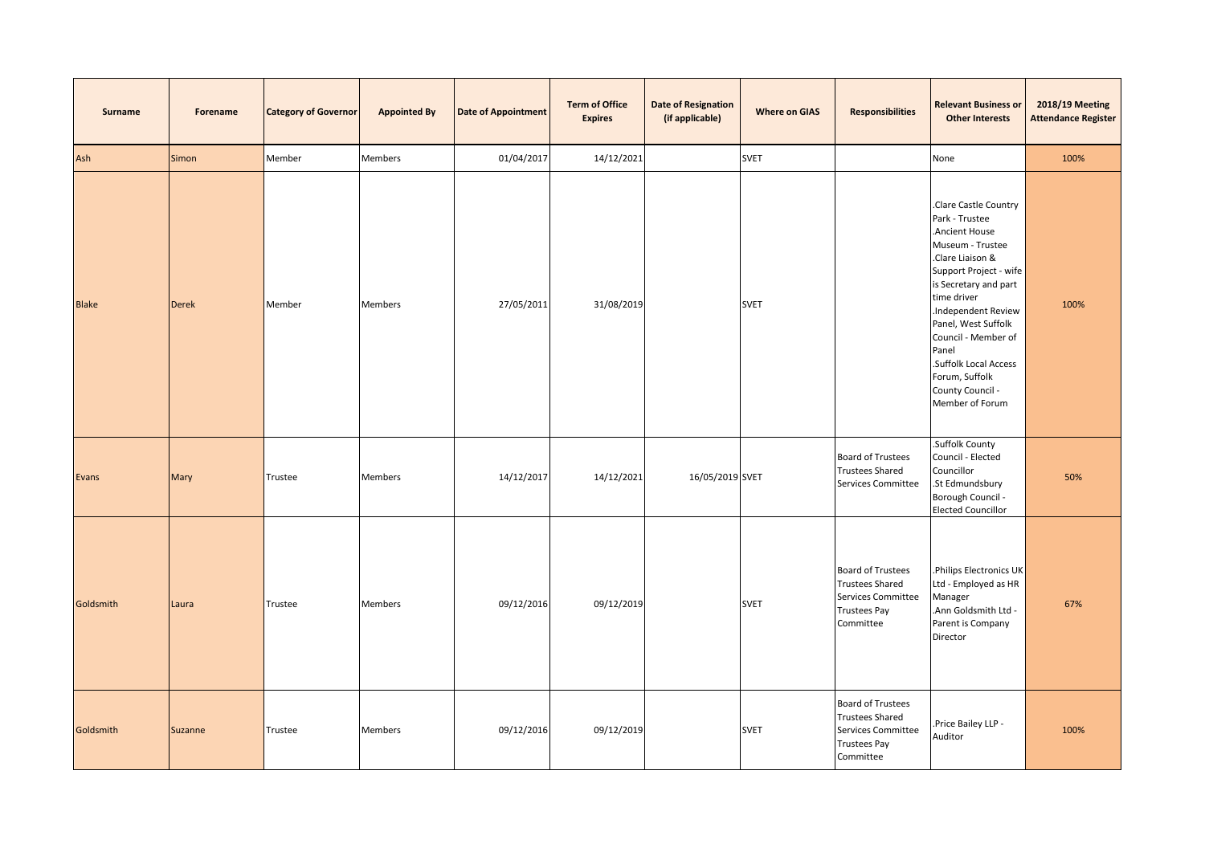| <b>Surname</b> | Forename     | <b>Category of Governor</b> | <b>Appointed By</b> | <b>Date of Appointment</b> | <b>Term of Office</b><br><b>Expires</b> | <b>Date of Resignation</b><br>(if applicable) | <b>Where on GIAS</b> | <b>Responsibilities</b>                                                                                      | <b>Relevant Business or</b><br><b>Other Interests</b>                                                                                                                                                                                                                                                                            | <b>2018/19 Meeting</b><br><b>Attendance Register</b> |
|----------------|--------------|-----------------------------|---------------------|----------------------------|-----------------------------------------|-----------------------------------------------|----------------------|--------------------------------------------------------------------------------------------------------------|----------------------------------------------------------------------------------------------------------------------------------------------------------------------------------------------------------------------------------------------------------------------------------------------------------------------------------|------------------------------------------------------|
| Ash            | Simon        | Member                      | <b>Members</b>      | 01/04/2017                 | 14/12/2021                              |                                               | <b>SVET</b>          |                                                                                                              | None                                                                                                                                                                                                                                                                                                                             | 100%                                                 |
| <b>Blake</b>   | <b>Derek</b> | Member                      | <b>Members</b>      | 27/05/2011                 | 31/08/2019                              |                                               | <b>SVET</b>          |                                                                                                              | Clare Castle Country<br>Park - Trustee<br>Ancient House<br>Museum - Trustee<br>.Clare Liaison &<br>Support Project - wife<br>is Secretary and part<br>time driver<br>Independent Review<br>Panel, West Suffolk<br>Council - Member of<br>Panel<br>.Suffolk Local Access<br>Forum, Suffolk<br>County Council -<br>Member of Forum | 100%                                                 |
| Evans          | Mary         | Trustee                     | Members             | 14/12/2017                 | 14/12/2021                              | 16/05/2019 SVET                               |                      | <b>Board of Trustees</b><br><b>Trustees Shared</b><br>Services Committee                                     | .Suffolk County<br>Council - Elected<br>Councillor<br>.St Edmundsbury<br>Borough Council -<br><b>Elected Councillor</b>                                                                                                                                                                                                          | 50%                                                  |
| Goldsmith      | Laura        | Trustee                     | <b>Members</b>      | 09/12/2016                 | 09/12/2019                              |                                               | <b>SVET</b>          | <b>Board of Trustees</b><br><b>Trustees Shared</b><br>Services Committee<br><b>Trustees Pay</b><br>Committee | Philips Electronics UK<br>Ltd - Employed as HR<br>Manager<br>Ann Goldsmith Ltd -<br>Parent is Company<br>Director                                                                                                                                                                                                                | 67%                                                  |
| Goldsmith      | Suzanne      | Trustee                     | Members             | 09/12/2016                 | 09/12/2019                              |                                               | <b>SVET</b>          | <b>Board of Trustees</b><br><b>Trustees Shared</b><br>Services Committee<br><b>Trustees Pay</b><br>Committee | Price Bailey LLP -<br>Auditor                                                                                                                                                                                                                                                                                                    | 100%                                                 |